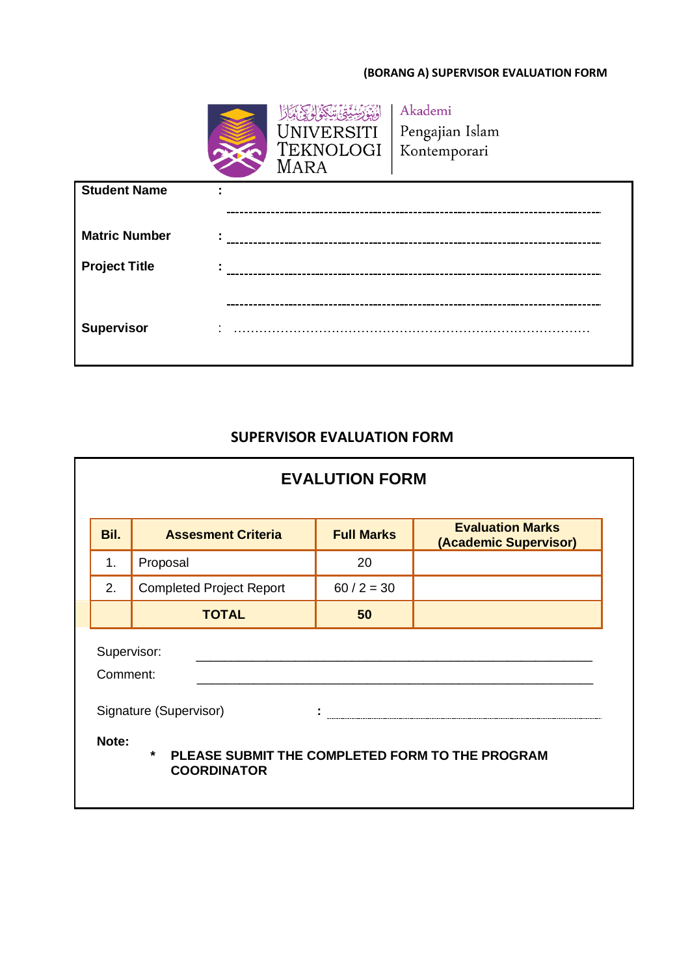## **(BORANG A) SUPERVISOR EVALUATION FORM**



Akademi Pengajian Islam Kontemporari

| <b>Student Name</b>  | $\blacksquare$<br>$\blacksquare$ |
|----------------------|----------------------------------|
|                      |                                  |
| <b>Matric Number</b> | $\blacksquare$<br>$\blacksquare$ |
| <b>Project Title</b> | ٠                                |
|                      |                                  |
| <b>Supervisor</b>    | $\cdot$                          |

## **SUPERVISOR EVALUATION FORM**

| <b>EVALUTION FORM</b>                                                                     |                                 |                   |                                                  |  |  |  |
|-------------------------------------------------------------------------------------------|---------------------------------|-------------------|--------------------------------------------------|--|--|--|
| Bil.                                                                                      | <b>Assesment Criteria</b>       | <b>Full Marks</b> | <b>Evaluation Marks</b><br>(Academic Supervisor) |  |  |  |
| 1.                                                                                        | Proposal                        | 20                |                                                  |  |  |  |
| 2.                                                                                        | <b>Completed Project Report</b> | $60 / 2 = 30$     |                                                  |  |  |  |
|                                                                                           | <b>TOTAL</b>                    | 50                |                                                  |  |  |  |
| Supervisor:<br>Comment:<br>Signature (Supervisor)                                         |                                 |                   |                                                  |  |  |  |
| Note:<br>$\star$<br>PLEASE SUBMIT THE COMPLETED FORM TO THE PROGRAM<br><b>COORDINATOR</b> |                                 |                   |                                                  |  |  |  |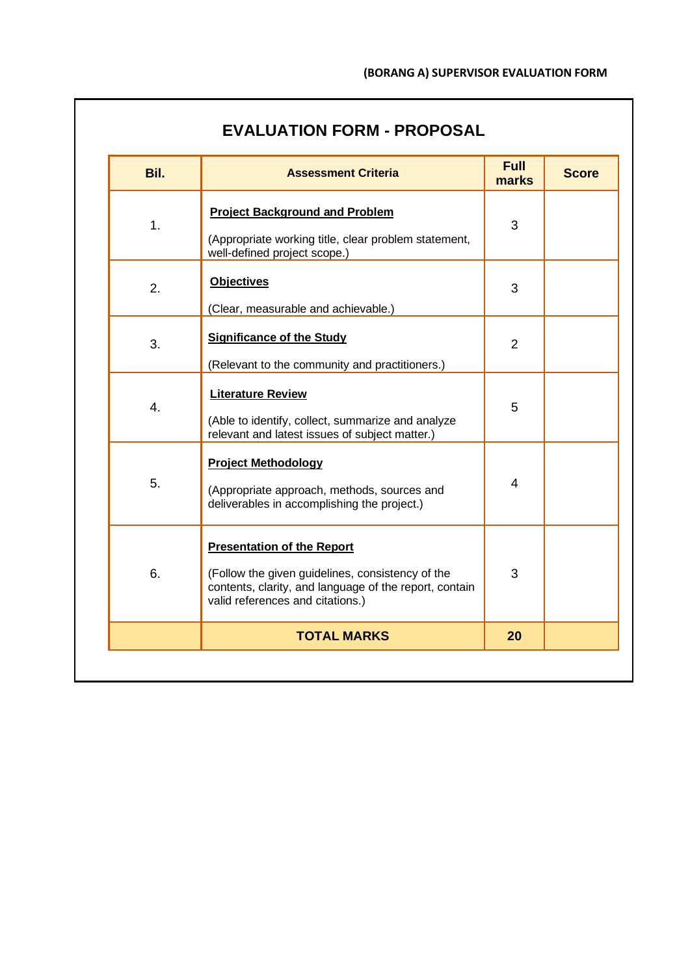| <b>EVALUATION FORM - PROPOSAL</b> |  |  |
|-----------------------------------|--|--|
|-----------------------------------|--|--|

| Bil. | <b>Assessment Criteria</b>                                                                                                                                                          | <b>Full</b><br>marks | <b>Score</b> |
|------|-------------------------------------------------------------------------------------------------------------------------------------------------------------------------------------|----------------------|--------------|
| 1.   | <b>Project Background and Problem</b><br>(Appropriate working title, clear problem statement,<br>well-defined project scope.)                                                       | 3                    |              |
| 2.   | <b>Objectives</b><br>(Clear, measurable and achievable.)                                                                                                                            | 3                    |              |
| 3.   | <b>Significance of the Study</b><br>(Relevant to the community and practitioners.)                                                                                                  | $\overline{2}$       |              |
| 4.   | <b>Literature Review</b><br>(Able to identify, collect, summarize and analyze<br>relevant and latest issues of subject matter.)                                                     | 5                    |              |
| 5.   | <b>Project Methodology</b><br>(Appropriate approach, methods, sources and<br>deliverables in accomplishing the project.)                                                            | $\overline{4}$       |              |
| 6.   | <b>Presentation of the Report</b><br>(Follow the given guidelines, consistency of the<br>contents, clarity, and language of the report, contain<br>valid references and citations.) | 3                    |              |
|      | <b>TOTAL MARKS</b>                                                                                                                                                                  | 20                   |              |